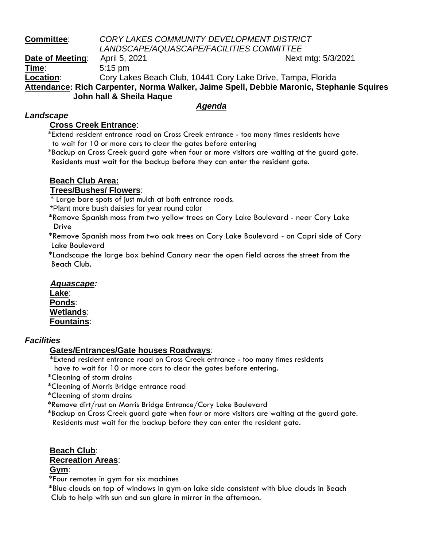## **Committee**: *CORY LAKES COMMUNITY DEVELOPMENT DISTRICT*

*LANDSCAPE/AQUASCAPE/FACILITIES COMMITTEE*

**Date of Meeting:** April 5, 2021 April 2012 1 Next mtg: 5/3/2021 **Time**: 5:15 pm **Location**: Cory Lakes Beach Club, 10441 Cory Lake Drive, Tampa, Florida **Attendance: Rich Carpenter, Norma Walker, Jaime Spell, Debbie Maronic, Stephanie Squires John hall & Sheila Haque**

### *Agenda*

#### *Landscape*

#### **Cross Creek Entrance**:

 \*Extend resident entrance road on Cross Creek entrance - too many times residents have to wait for 10 or more cars to clear the gates before entering

 \*Backup on Cross Creek guard gate when four or more visitors are waiting at the guard gate. Residents must wait for the backup before they can enter the resident gate.

# **Beach Club Area:**

### **Trees/Bushes/ Flowers**:

\* Large bare spots of just mulch at both entrance roads.

\*Plant more bush daisies for year round color

 \*Remove Spanish moss from two yellow trees on Cory Lake Boulevard - near Cory Lake Drive

 \*Remove Spanish moss from two oak trees on Cory Lake Boulevard - on Capri side of Cory Lake Boulevard

 \*Landscape the large box behind Canary near the open field across the street from the Beach Club.

# *Aquascape:*

**Lake**: **Ponds**: **Wetlands**: **Fountains**:

#### *Facilities*

### **Gates/Entrances/Gate houses Roadways**:

\*Extend resident entrance road on Cross Creek entrance - too many times residents have to wait for 10 or more cars to clear the gates before entering.

- \*Cleaning of storm drains
- \*Cleaning of Morris Bridge entrance road

\*Cleaning of storm drains

\*Remove dirt/rust on Morris Bridge Entrance/Cory Lake Boulevard

 \*Backup on Cross Creek guard gate when four or more visitors are waiting at the guard gate. Residents must wait for the backup before they can enter the resident gate.

### **Beach Club**:

#### **Recreation Areas**:

#### **Gym**:

\*Four remotes in gym for six machines

 \*Blue clouds on top of windows in gym on lake side consistent with blue clouds in Beach Club to help with sun and sun glare in mirror in the afternoon.